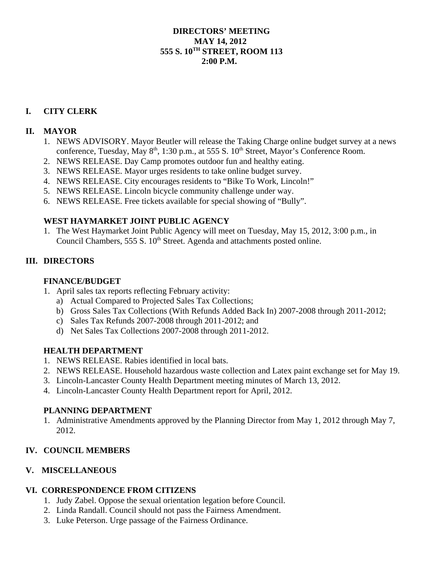#### **DIRECTORS' MEETING MAY 14, 2012 555 S. 10TH STREET, ROOM 113 2:00 P.M.**

# **I. CITY CLERK**

#### **II. MAYOR**

- 1. NEWS ADVISORY. Mayor Beutler will release the Taking Charge online budget survey at a news conference, Tuesday, May 8<sup>th</sup>, 1:30 p.m., at 555 S. 10<sup>th</sup> Street, Mayor's Conference Room.
- 2. NEWS RELEASE. Day Camp promotes outdoor fun and healthy eating.
- 3. NEWS RELEASE. Mayor urges residents to take online budget survey.
- 4. NEWS RELEASE. City encourages residents to "Bike To Work, Lincoln!"
- 5. NEWS RELEASE. Lincoln bicycle community challenge under way.
- 6. NEWS RELEASE. Free tickets available for special showing of "Bully".

# **WEST HAYMARKET JOINT PUBLIC AGENCY**

1. The West Haymarket Joint Public Agency will meet on Tuesday, May 15, 2012, 3:00 p.m., in Council Chambers, 555 S. 10<sup>th</sup> Street. Agenda and attachments posted online.

# **III. DIRECTORS**

#### **FINANCE/BUDGET**

- 1. April sales tax reports reflecting February activity:
	- a) Actual Compared to Projected Sales Tax Collections;
	- b) Gross Sales Tax Collections (With Refunds Added Back In) 2007-2008 through 2011-2012;
	- c) Sales Tax Refunds 2007-2008 through 2011-2012; and
	- d) Net Sales Tax Collections 2007-2008 through 2011-2012.

# **HEALTH DEPARTMENT**

- 1. NEWS RELEASE. Rabies identified in local bats.
- 2. NEWS RELEASE. Household hazardous waste collection and Latex paint exchange set for May 19.
- 3. Lincoln-Lancaster County Health Department meeting minutes of March 13, 2012.
- 4. Lincoln-Lancaster County Health Department report for April, 2012.

#### **PLANNING DEPARTMENT**

1. Administrative Amendments approved by the Planning Director from May 1, 2012 through May 7, 2012.

# **IV. COUNCIL MEMBERS**

# **V. MISCELLANEOUS**

# **VI. CORRESPONDENCE FROM CITIZENS**

- 1. Judy Zabel. Oppose the sexual orientation legation before Council.
- 2. Linda Randall. Council should not pass the Fairness Amendment.
- 3. Luke Peterson. Urge passage of the Fairness Ordinance.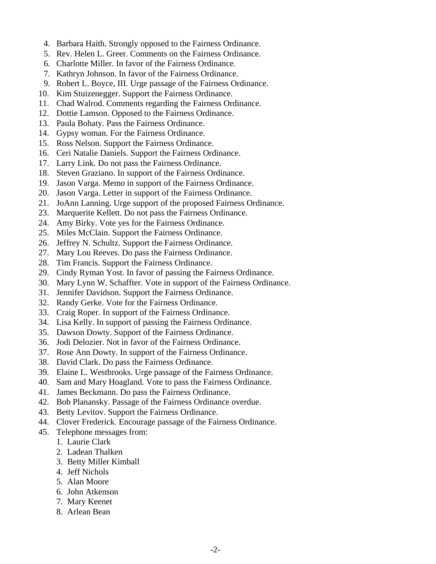- 4. Barbara Haith. Strongly opposed to the Fairness Ordinance.
- 5. Rev. Helen L. Greer. Comments on the Fairness Ordinance.
- 6. Charlotte Miller. In favor of the Fairness Ordinance.
- 7. Kathryn Johnson. In favor of the Fairness Ordinance.
- 9. Robert L. Boyce, III. Urge passage of the Fairness Ordinance.
- 10. Kim Stuizenegger. Support the Fairness Ordinance.
- 11. Chad Walrod. Comments regarding the Fairness Ordinance.
- 12. Dottie Lamson. Opposed to the Fairness Ordinance.
- 13. Paula Bohaty. Pass the Fairness Ordinance.
- 14. Gypsy woman. For the Fairness Ordinance.
- 15. Ross Nelson. Support the Fairness Ordinance.
- 16. Ceri Natalie Daniels. Support the Fairness Ordinance.
- 17. Larry Link. Do not pass the Fairness Ordinance.
- 18. Steven Graziano. In support of the Fairness Ordinance.
- 19. Jason Varga. Memo in support of the Fairness Ordinance.
- 20. Jason Varga. Letter in support of the Fairness Ordinance.
- 21. JoAnn Lanning. Urge support of the proposed Fairness Ordinance.
- 23. Marquerite Kellett. Do not pass the Fairness Ordinance.
- 24. Amy Birky. Vote yes for the Fairness Ordinance.
- 25. Miles McClain. Support the Fairness Ordinance.
- 26. Jeffrey N. Schultz. Support the Fairness Ordinance.
- 27. Mary Lou Reeves. Do pass the Fairness Ordinance.
- 28. Tim Francis. Support the Fairness Ordinance.
- 29. Cindy Ryman Yost. In favor of passing the Fairness Ordinance.
- 30. Mary Lynn W. Schaffter. Vote in support of the Fairness Ordinance.
- 31. Jennifer Davidson. Support the Fairness Ordinance.
- 32. Randy Gerke. Vote for the Fairness Ordinance.
- 33. Craig Roper. In support of the Fairness Ordinance.
- 34. Lisa Kelly. In support of passing the Fairness Ordinance.
- 35. Dawson Dowty. Support of the Fairness Ordinance.
- 36. Jodi Delozier. Not in favor of the Fairness Ordinance.
- 37. Rose Ann Dowty. In support of the Fairness Ordinance.
- 38. David Clark. Do pass the Fairness Ordinance.
- 39. Elaine L. Westbrooks. Urge passage of the Fairness Ordinance.
- 40. Sam and Mary Hoagland. Vote to pass the Fairness Ordinance.
- 41. James Beckmann. Do pass the Fairness Ordinance.
- 42. Bob Planansky. Passage of the Fairness Ordinance overdue.
- 43. Betty Levitov. Support the Fairness Ordinance.
- 44. Clover Frederick. Encourage passage of the Fairness Ordinance.
- 45. Telephone messages from:
	- 1. Laurie Clark
	- 2. Ladean Thalken
	- 3. Betty Miller Kimball
	- 4. Jeff Nichols
	- 5. Alan Moore
	- 6. John Atkenson
	- 7. Mary Keenet
	- 8. Arlean Bean